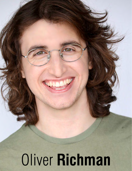Oliver **Richman**